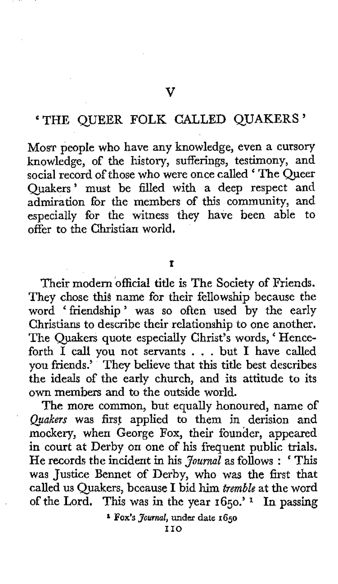## 'THE QUEER FOLK CALLED QUAKERS'

**V** 

**MOST** people who have any knowledge, even a cursory knowledge, of the history, sufferings, testimony, and social record of those who were once called ' The Queer Quakers' must be filled with a deep respect and admiration for the members of this community, and especially for the witness they have been able to offer to the Christian world.

## **I**

Their modern official title is The Society of Friends. They chose this name for their fellowship because the word 'friendship' was so often used by the early Christians to describe their relationship to one another. The Quakers quote especially Christ's words, ' Henceforth I call you not servants . . . but I have called you friends.' They believe that this title best describes the ideals of the early church, and its attitude to its own members and to the outside world.

The more common, but equally honoured, name of *Quakm* was **firsf** applied to them in derision and mockery, when George Fox, their founder, appeared in court at Derby on one of his frequent public trials. He records the incident in his *Journal* as follows : ' This was Justice Bennet of Derby, who was the first that called us Quakers, because I bid **him** *tremble* at the word of the Lord. This was in the year **1650.' 1** In passing

**<sup>1</sup>FOX'S** *Journal,* **under date 1650**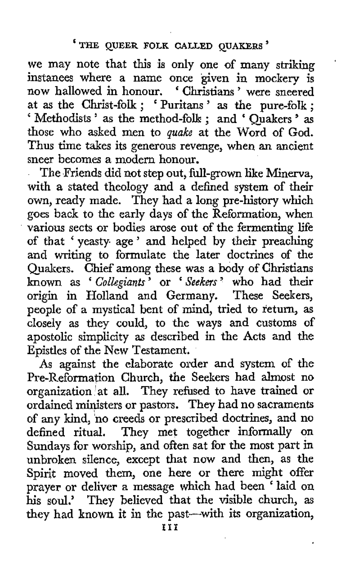'

we may note that this is only one of many striking instances where a name once given in mockery is now hallowed in honour. ' Christians ' were sneered now natiowed in honour. Christians were sneered<br>at as the Christ-folk ; 'Puritans' as the pure-folk ; at as the Christ-folk ; 'Puritans' as the pure-folk ;<br>'Methodists' as the method-folk ; and 'Quakers' as those who asked men to *quake* at the Word of God. Thus time takes its generous revenge, when an ancient sneer becomes a modern honour.

The Friends did not step out, full-grown like Minerva, with **a** stated theology and a defined system of their own, ready made. They had a long pre-history which goes back to the early days of the Reformation, when various sects or bodies arose out of the fermenting life of that ' yeasty. age ' and helped by their preaching and writing to formulate the later doctrines of the Quakers. Chief among these was a body of Christians known as '*Collegiants'* or '*Seekers'* who had their origin in Holland and Germany. These Seekers, people of a mystical bent of mind, tried to return, as closely as they could, to the ways and customs of apostolic simplicity as described in the Acts and the Epistles of the New Testament.

**As** against the elaborate order and system of the Pre-Reformation Church, the Seekers had almost no organization 'at **all.** They refused to have trained or ordained ministers or pastors. They had no sacraments of any kind, 'no creeds or prescribed doctrines, and no defined ritual. They met together informally on Sundays for worship, and often sat for the most part in unbroken silence, except that now and then, as the Spirit moved them, one here or there might offer prayer or deliver **a** message which had been ' laid on his soul,' They believed that the visible church, as they had known it in the past-with its organization,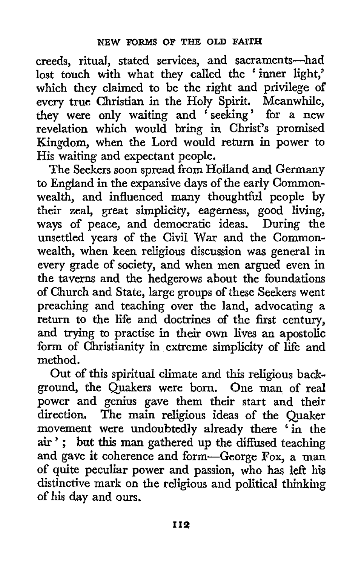creeds, ritual, stated services, and sacraments—ha lost touch with what they called the 'inner light,' which they claimed to be the right and privilege **of**  every true Christian in the Holy Spirit. Meanwhile, they were only waiting and ' seeking' for a new revelation which would bring in Christ's promised Kingdom, when the Lord would return in power to His waiting and expectant people.

The Seekers soon spread from Holland and Germany to England in the expansive days of the early Commonwealth, and influenced many thoughtful people by their zeal, great simplicity, eagerness, good living, ways of peace, and democratic ideas. During the unsettled years of the Civil War and the Commonwealth, when keen religious discussion was general in every grade of society, and when men argued even in the taverns and the hedgerows about the foundations of Church and State, large groups of these Seekers went preaching and teaching over the land, advocating a return to the life and doctrines of the first century, and trying to practise in their own lives **an** apostolic form of Christianity in extreme simplicity of life and method.

Out of this spiritual climate and this religious background, the Quakers were born. One man of real power and genius gave them their start and their direction. The main religious ideas of the Quaker movement were undoubtedly already there ' in the **air** ' ; but *this* man gathered up the diffused teaching and gave it coherence and form-George **Fox,** a man of quite peculiar power and passion, who has left his distinctive mark on the religious and political thinking of his day and ours.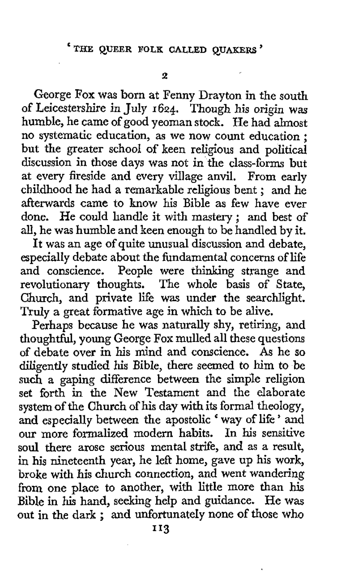George **Fox** was born at Fenny Drayton in the south of Leicestershire in July **1624.** Though his origin was humble, he came of good yeoman stock. He had almost no systematic education, as we now count education ; but the greater school of keen religious and political discussion in those days was not in the class-forms but at every fireside and every village anvil. From early childhood he had a remarkable religious bent ; and he afterwards came to know his Bible as few have ever done. He could handle it with mastery ; and best of all, he was humble and keen enough to be handled by it.

It was an age of quite unusual discussion and debate. especially debate about the fundamental concerns of life and conscience. People were thinking strange and revolutionary thoughts. The whole basis of State, Church, and private life was under the searchlight. Truly a great formative age in which to be alive.

Perhaps because he was naturally shy, retiring, and thoughtful, young George **Fox** mulled all these questions of debate over in his mind and conscience. *As* he so diligently studied his Bible, there seemed to him to be such a gaping difference between the simple religion set forth in the New Testament and the elaborate system of the Church of his day with its formal theology, and especially between the apostolic ' way of life ' and our more formalized modern habits. In his sensitive soul there arose serious mental strife, and as a result, in his nineteenth year, he left home, **gave** up his work, broke with his church connection, and went wandering from one place to another, with little more than his Bible in his hand, seeking help and guidance. He was out in the dark : and unfortunately none of those who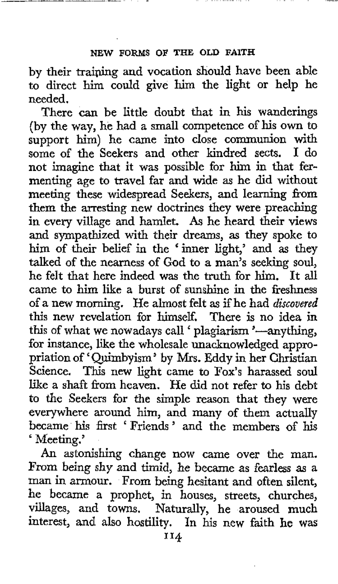by their training and vocation should have been able to direct him could give him the light or help he needed.

There can be little doubt that in his wanderings (by the way, he had a small competence of his own to support him) he came into close communion with some of the Seekers and other kindred sects. I do not imagine that it was possible for him in that fermenting age to travel far and wide as he did without meeting these widespread Seekers, and learning from them the arresting new doctrines they were preaching in every village and hamlet. *As* he heard their views and sympathized with their dreams, as they spoke to him of their belief in the 'inner light,' and as they talked of the nearness of God to a man's seeking soul, he felt that here indeed was the truth for him. It all came to him like a burst of sunshine in the freshness of a new morning. He almost felt **as** if he had *discovered*  this new revelation for himself. There is no idea in this of what we nowadays call 'plagiarism '-anything, for instance, like **the** wholesale unacknowledged appropriation of 'Quimbyism' by Mrs. Eddy in her Christian Science. This new light came to Fox's harassed soul like a shaft from heaven. He did not refer to his debt **to** the Seekers for the simple reason that they were everywhere around him, and many of them actually became his first 'Friends' and the members of his ' Meeting.'

**An** astonishing change now came over the man. From being shy and timid, he became **as** fearless as a man in armour. From being hesitant and often silent, he became a prophet, in houses, streets, churches, villages, and towns. Naturally, he aroused much interest, and also hostility. In his new faith he was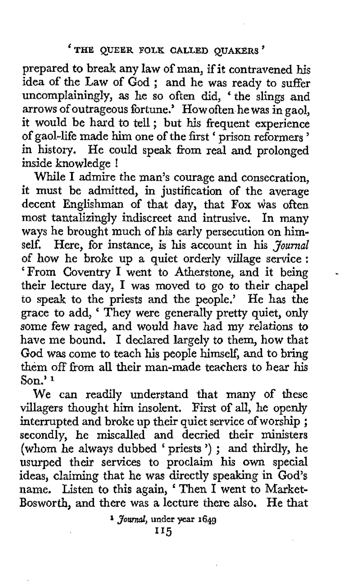prepared to break any law of man, if it contravened **his**  idea of the Law of God ; and he was ready to suffer uncomplainingly, **as** he so often did, ' the slings and arrows of outrageous fortune.' How often he was in gaol, it would be hard to tell ; but his frequent experience of gaol-life made him one of the first ' prison reformers ' in history. He could speak from real and prolonged inside knowledge !

**While** I admire the man's courage and consecration, it must be admitted, in justification of the average decent Englishman of that day, that Fox was often most tantalizingly indiscreet and intrusive. In many ways he brought much of his early persecution on himself. Here, for instance, is his account in his *Journal*  of how he broke up a quiet orderly village service : 'From Coventry I went to Atherstone, and it being their lecture day, I was moved to go to their chapel to speak to the priests and the people.' He has the grace to add, ' They were generally pretty quiet, **only**  some few raged, and would have had my relations to have me bound. I declared largely to them, how that God **was** come to teach **his** people himself, and to bring them off from all their man-made teachers to bear his **Son.' 1** 

.

We can readily understand that many of these villagers thought him insolent. First of all, he openly interrupted and broke up their quiet service of worship ; secondly, he miscalled and decried their ministers (whom he always dubbed ' priests ') ; and thirdly, he usurped their services to proclaim his **own** special ideas, claiming that he was directly speaking in God's name. Listen to this again, 'Then I went to Market-Bosworth, and there was a lecture there also. He that

**<sup>I</sup>***Journal,* **under** year **1649**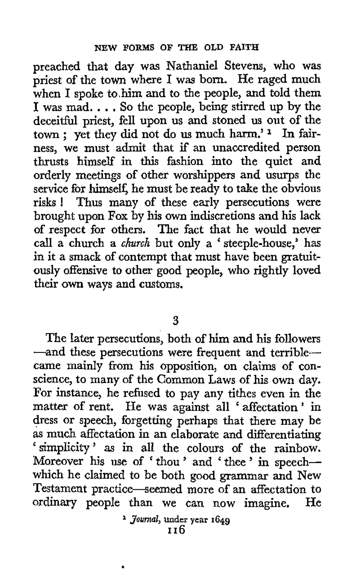preached that day was Nathaniel Stevens, who was priest of the town where I was born. He raged much when I spoke to him and to the people, and told them **<sup>I</sup>**was mad. . . . *So* the people, being stirred up by the deceitful priest, fell upon **us** and stoned us out of the town ; yet they did not do us much harm.' In fairness, we must admit that if an unaccredited person thrusts himself in this fashion into the quiet and orderly meetings of other worshippers and usurps the service for himself, he must be ready to take the obvious risks ! Thus many of these early persecutions were brought upon **Fox** by his own indiscretions and his lack of respect for others. The fact that he would never call a church a *church* but only a ' steeple-house,' has in it a smack of contempt that must have been gratuitously offensive to other good people, who rightly loved their own ways and customs.

**3** 

The later persecutions, both of him and his followers -and these persecutions were frequent and terriblecame mainly from his opposition, on claims of conscience, to many of the Common Laws of his own day. For instance, he refused to pay any tithes even in the matter of rent. He was against all ' affectation ' in dress or speech, forgetting perhaps that there may be as much affectation in an elaborate and differentiating 'simplicity' as in all the colours of the rainbow. Moreover his use of ' thou ' and ' thee ' in speechwhich he claimed to be both good grammar and New Testament practice-seemed more of an affectation to ordinary people than we can now imagine. He

**1** *Journal,* **under year 1649 I 16** 

.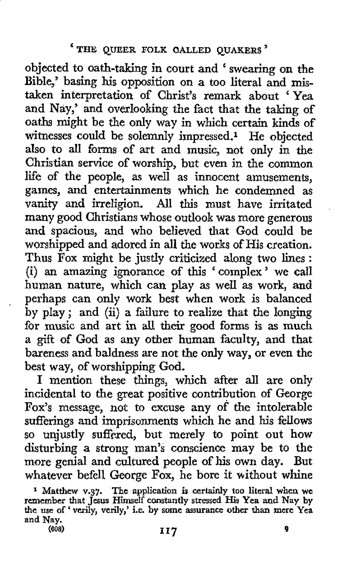objected to oath-taking in court and ' swearing on the Bible,' basing his opposition on a too literal and *mis*taken interpretation of Christ's remark about 'Yea and Nay,' and overlooking the fact that the taking of oaths might be the only way in which certain kinds of witnesses could be solemnly impressed.1 He objected also to all forms of art and music, not only in the Christian service of worship, but even in the common life of the people, as well as innocent amusements, games, and entertainments which he condemned as vanity and irreligion. All this must have irritated many good Christians whose outlook was more generous and spacious, and who believed that God could be worshipped and adored in all the works of His creation. Thus **Fox** might be justly criticized along **two** lines : (i) an amazing ignorance of this 'complex' we call human nature, which can play as well **as** work, and perhaps can only work best when work is balanced by play; and  $(ii)$  a failure to realize that the longing for music and art in all their good forms is as much a gift of God as any other human faculty, and that bareness and baldness are not the only way, or even the best way, of worshipping God.

**I** mention these things, which after **all** are only incidental to the great positive contribution of George Fox's message, not to excuse any of the intolerable sufferings and imprisonments which he and his fellows so unjustly suffered, but merely to point out how disturbing a strong man's conscience may be to the more genial and cultured people of his own day. But whatever befell George **Fox,** he bore it without whine

**The application is certainly too literal when we**  remember that Jesus Himself constantly stressed His Yea and Nay by<br>the use of 'verily, verily,' i.e. by some assurance other than mere Yea **and Nay. 1 Matthew v.37.**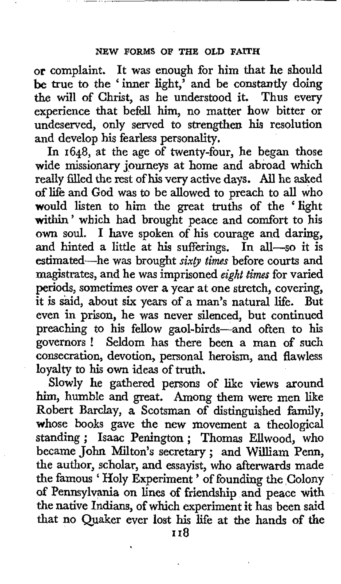**Or** complaint. It was enough for him that he should **be** true to the 'inner light,' and be constantly doing *the* will of Christ, as he understood it. Thus every experience that befell him, no matter how bitter or undeserved, only served to strengthen his resolution and develop **his** fearless personality.

In **1648,** at the age of twenty-four, he began those wide missionary journeys at home and abroad which really filled the rest of his very active days. All he asked of life and God was to be allowed to preach to all who would listen to him the great truths of the 'light within' which had brought peace and comfort to his **own** soul. I have spoken of his courage and daring, and hinted a little at his sufferings. In all-so it is estimated-he was brought *sixty times* before courts and magjstrates, and he was imprisoned *eight times* for varied periods, sometimes over a year at one stretch, covering, it is said, about *six* years of a man's natural life. But even in prison, he was never silenced, but continued preaching to his fellow gaol-birds-and often to his governors ! Seldom has there been **a** man of such consecration, devotion, personal heroism, and flawless loyalty to his **own** ideas of truth.

Slowly he gathered persons of like views around him, humble and great. Among them were men like Robert Barclay, a Scotsman of distinguished family, whose books gave the new movement a theological standing ; Isaac Penington ; Thomas Ellwood, who became John Milton's secretary; and William Penn, the author, scholar, and essayist, who afterwards made the author, scholar, and essayist, who arterwards made<br>the famous ' Holy Experiment' of founding the Colony *of* Pennsylvania on lines of friendship and peace with the native Indians, of which experiment it has been said that no Quaker ever lost his life at the hands of *the*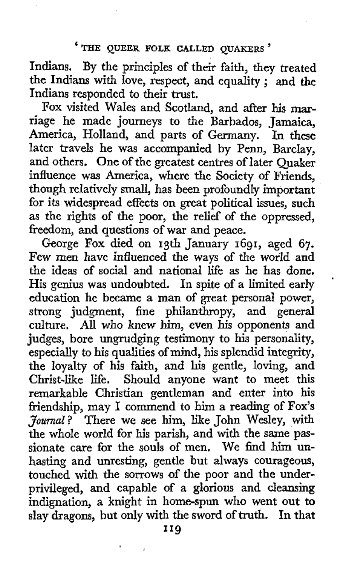Indians. By the principles of their faith, they treated the Indians with love, respect, and equality ; and the Indians responded to their trust.

Fox visited Wales and Scotland, and after his **mar**riage he made journeys to the Barbados, Jamaica, America, Holland, and parts of Germany. In the later travels he was accompanied by Penn, Barclay, and others. One of the greatest centres of later Quaker influence was America, where the Society of Friends, though relatively small, **has** been profoundly important for its widespread effects on great political issues, such as the rights of the poor, the relief of the oppressed, freedom, and questions of war and peace.

George Fox died on 13th January 1691, aged 67. Few men have influenced the ways of the world and the ideas of social and national life **as** he has done. His genius was undoubted. In spite of a limited early education he became a **man** of great personal power, strong judgment, fine philanthropy, and general culture. **All** who knew **him,** even **his** opponents and judges, bore ungrudging testimony to his personality, especially to his qualities *of* mind, his splendid integrity, the loyalty of his **faith,** and his gentle, loving, and Christ-like life. Should anyone want to meet this remarkable Christian gentleman and enter into his friendship, may I commend to him a reading of **Fox's**  *Journal?* There we see him, like John Wesley, with the whole world for his parish, and with the same passionate care for the souls of men. We find him unhasting and unresting, gentle but always courageous, touched with the sorrows of the poor and the underprivileged, and capable of a glorious and cleansing indignation, a knight in home-spun who went out to slay dragons, but only with the sword **of** truth. In that

'

\*1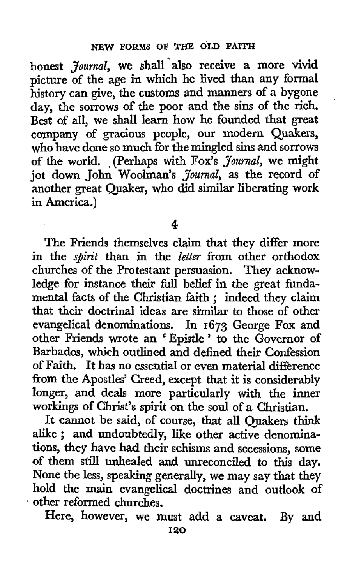honest *Journal*, we shall also receive a more vivid picture of the age in which he lived than any formal history can give, the customs and manners of a bygone day, the sorrows of the poor and the sins of the rich. Best *of* all, we shall learn how he founded that great company of gracious people, our modern Quakers, who have done so much for the mingled sins and sorrows of the world, .(Perhaps with Fox's *Journal,* we might jot down John Woolman's *Journal,* as the record of another great Quaker, who did similar liberating work in America.)

**4** 

The Friends themselves claim that they differ more in the *spirit* than in the *letter* from other orthodox churches of the Protestant persuasion. They acknowledge for instance their fill belief in the great fundamental facts of the Christian faith ; indeed they claim that their doctrinal ideas are similar to those of other evangelical denominations. In 1673 George Fox and other Friends wrote an ' Epistle ' to the Governor of Barbados, which outlined and defined their Confession of Faith. It has no essential or even material difference from the Apostles' Creed, except that it is considerably longer, and deals more particularly with the inner workings of Christ's spirit on the soul of a Christian.

It cannot be said, *of* course, that all Quakers **think**  alike; and undoubtedly, like other active denominations, they have had their schisms and secessions, **some**  of them still unhealed and unreconciled to **this** day. None the less, speaking generally, we may say that they hold the main evangelical doctrines and outlook of \* other reformed churches.

Here, however, we must add a caveat. By and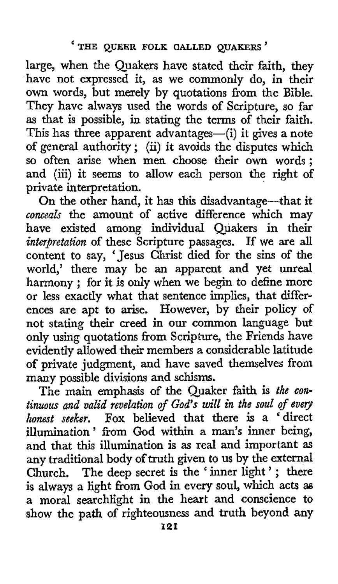large, when the Quakers have stated their faith, they have not expressed it, as we commonly do, in their **own** words, but merely by quotations from the Bible. They have always used the words of Scripture, so far **as** that is possible, in stating the terms of their faith. This has three apparent advantages—(i) it gives a note of general authority; (ii) it avoids the disputes which so often arise when men choose their own words: and (iii) it seems to allow each person the right of private interpretation.

On the other hand, it has this disadvantage-that it *conceals* the amount of active difference which may have existed among individual Quakers in their *interpretation* of these Scripture passages. If we are all content to say, 'Jesus Christ died for the sins of the world,' there may be an apparent and yet unreal harmony ; for it is **only** when we begin to define more or less exactly what that sentence implies, that differences are apt to arise. However, by their policy of not stating their creed in our common language but only using quotations from Scripture, the Friends have evidently allowed their members a considerable latitude of private judgment, and have saved themselves from many possible divisions and schisms.

The main emphasis of the Quaker faith is *the continuous and valid revelation of God's will in the soul of evey honest seeker.* **Fox** believed that there is a 'direct illumination' from God within a man's inner being, and that this illumination is as real and important **as**  any traditional body of truth given to us by the external Church. The deep secret is the 'inner light'; there is always *a* light from God in every soul, which acts **a6**  a moral searchlight in the heart and conscience to **show** the path of righteousness and truth beyond any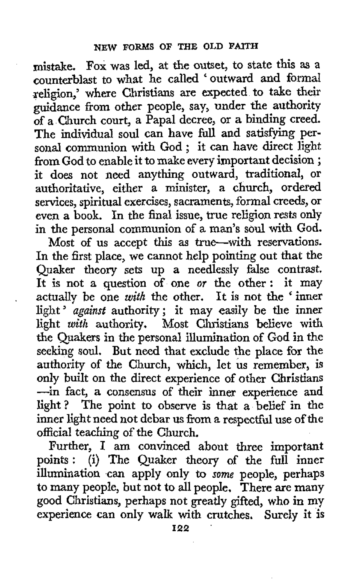mktake. Fox was led, at the outset, to state this **as** a counterblast to what he called ' outward and formal xeligion,' where Christians are expected to take their guidance from other people, say, under the authority of a Church court, a Papal decree, or **a** binding creed. The individual soul can have fiill and satisfying personal communion with God ; it can have direct light from God to enable it to make every important decision ; it does not need anything outward, traditional, or authoritative, either a minister, a church, ordered services, spiritual exercises, sacraments, formal creeds, or even a book. In the final issue, true religion rests only in the personal communion **of** a man's soul with God.

Most of **us** accept this as true-with reservations. In the first place, we cannot help pointing out that the Quaker theory sets up a needlessly false contrast. It is not a question of one *or* the other : it may It is not a question of one *or* the other: it may<br>actually be one *with* the other. It is not the ' inner actually be one *with* the other. It is not the inner<br>light ' *against* authority; it may easily be the inner light *with* **authority.** Most Christians believe with the Quakers in the personal illumination of God in the seeking **soul. But** need that exclude the place for the authority of the Church, which, let **us** remember, is only built on the direct experience of other Christians -in fact, a consensus of their inner experience and light? The point to observe is **that** a belief in the inner light need not debar **us** from a respectful use of the official teaching of the Church.

Further, **I** am convinced about three important points: (i) The Quaker theory of the full inner illumination can apply only to *some* people, perhaps to many people, but not to all people. There are many good Christians, perhaps not greatly gifted, who in **my**  experience can only walk with crutches, Surely it is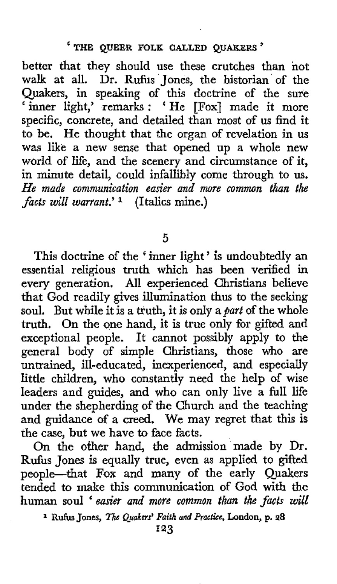better that they should use these crutches than **not**  walk at all. Dr. Rufus Jones, the historian of the Quakers, in speaking of this doctrine of the sure ' inner light,' remarks : 'He [Fox] made it more specific, concrete, and detailed than most of us find it to be. He thought that the organ of revelation in us was like a new sense that opened up a whole new world of life, and the scenery and circumstance of it, in minute detail, could infallibly come through to **us.**  *He made communication easier and more common than the facts will warrant.'* **1** (Italics mine.)

**5** 

This doctrine of the ' inner light ' **is** undoubtedly an essential religious truth which has been verified in every generation. All experienced Christians believe that God readily gives illumination thus to the seeking soul. But while it is a truth, it is only a *part* of the whole truth. On the one hand, it is true only for gifted and exceptional people. It cannot possibly apply to the general body of simple Christians, those who are untrained, ill-educated, inexperienced, and especially little children, who constantly need the help of wise leaders and guides, and who can only live a hll life under the shepherding of the Church and the teaching and guidance of a creed. We may regret that this is the case, but we have to face facts.

On the other hand, the admission made by Dr. Rufus Jones is equally true, even as applied to gifted people-that Fox and many of the early Quakers tended to make this communication of God **with** the human soul *'easier and more common than the facts will* 

**1 Rufii** Jones, *The* **Quakers'** *Faith and Practice,* **London, p. 28** 

**123**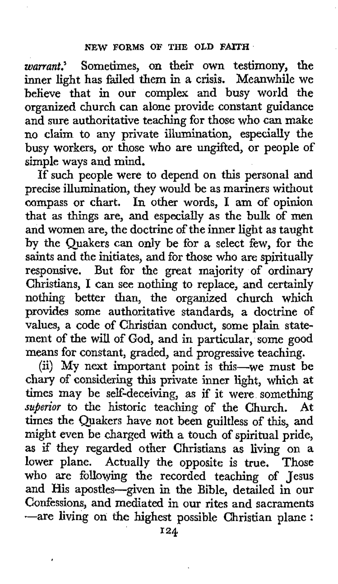*warrant.'* Sometimes, on their own testimony, the inner light has failed them in a crisis. Meanwhile we believe that in our complex and busy world the organized church can alone provide constant guidance and sure authoritative teaching for those who can make no claim to any private illumination, especially the busy workers, or those who are ungifted, or people of simple ways and mind.

If such people were to depend on this personal and precise illumination, they would be as mariners without compass or chart. In other words, I am of opinion that as things are, and especially as the bulk of men and women are, the doctrine of the inner light as taught by the Quakers can only be for a select few, for the saints and the initiates, and for those who are spiritually responsive. But for the great majority of ordinary Christians, **I** can see nothing to replace, and certainly nothing better than, the organized church which provides some authoritative standards, a doctrine of values, a code of Christian conduct, some plain statement of the will of God, and in particular, some good means for constant, graded, and progressive teaching.

(ii) My next important point is this-we must be chary of considering this private inner light, which at times may be self-deceiving, as if it were something *superior* to the historic teaching of the Church. At times the Quakers have not been guiltless of this, and might even be charged with **a** touch of spiritual pride, as if they regarded other Christians as living on a lower plane. Actually the opposite is true. Those who are following the recorded teaching of Jesus and His apostles-given in the Bible, detailed in our Confessions, and mediated in our rites and sacraments -are living on *the* highest possible Christian plane :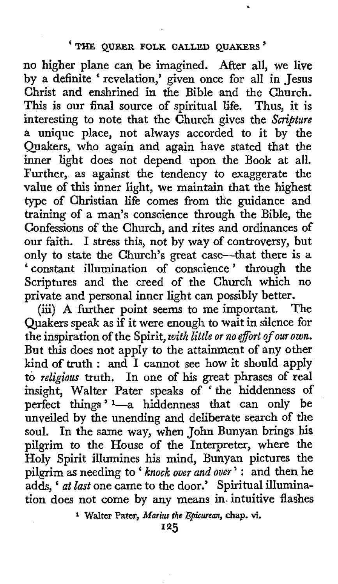## **'THE QUEER FOLK CALLED QUAKERS'**

no higher plane can be imagined. After all, we live by a definite ' revelation,' given once for all in Jesus Christ and enshrined in the Bible and the Church. This is our final source of spiritual life. Thus, it is interesting to note that the Church gives the *Scripture* a unique place, not always accorded to it by the Quakers, who again and again have stated that the inner light does not depend upon the Book at all. Further, as against the tendency to exaggerate the value of this inner light, we maintain that the highest type of Christian life comes from the guidance and training of a man's conscience through the Bible, the Confessions of the Church, and rites and ordinances of our faith. I stress this, not by way of controversy, but only to state the Church's great case-that there is *a*  ' constant illumination of conscience ' through the Scriptures and the creed of the Church which no private and personal inner light can possibly better.

(iii) **A** further point seems to me important. The Quakers speak as if it were enough to wait in silence for the inspiration of the Spirit, *with little or no &ort of our own.*  But **this** does not apply to the attainment of any other kind **of** truth : and I cannot see how it should apply to *religious* truth. In one of **his** great phrases of real insight, Walter Pater speaks of 'the hiddenness of perfect things '-a hiddenness that can only be unveiled by the unending and deliberate search of the soul. In the same way, when John Bunyan brings **his**  pilgrim to the House of the Interpreter, where the Holy Spirit illumines his mind, Bunyan pictures the pilgrim as needing to *knock ouer and ouer* ' : and then he pilgrim as needing to '*knock over and over'*: and then he<br>adds, ' *at last* one came to the door.' Spiritual illumination does not come by any means in intuitive flashes

**<sup>1</sup>Walter Pater,** *Marius the Ebicwean,* **chap.** vi.

**125**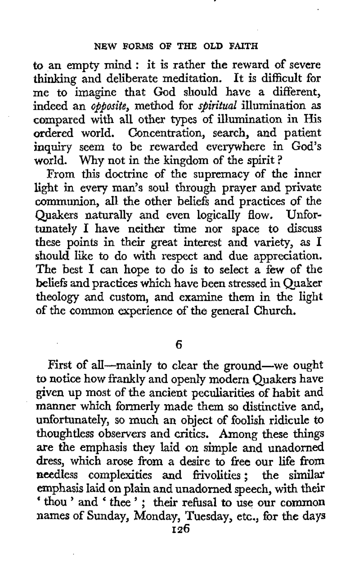to an empty mind : it is rather the reward of severe thinking and deliberate meditation. It is difficult for me to imagine that God should have a different, indeed an *opposite,* method for *spiritual* illumination as compared with all other types **of** illumination in His ordered world. Concentration, search, and patient **inquiry** seem to be rewarded everywhere in God's world. Why not in the kingdom of the spirit?

From this doctrine of the supremacy of the inner light in every man's soul through prayer and private communion, all the other beliefs and practices of the Quakers naturally and even logically flow. Unfortunately I have neither time nor space to discuss these points in their great interest and variety, as I should like to do with respect and due appreciation. The best I can hope to do is to select a few of the beliefs and practices which have been stressed in Quaker theology and custom, and examine them in the light **of** the common experience of **the** general Church.

**6** 

First of all-mainly to clear the ground-we ought to notice how frankly and openly modern Quakers have given up most of the ancient peculiarities of habit and manner which formerly made them so distinctive and, unfortunately, so much an object of foolish ridicule **to**  thoughtless observers and critics. Among these things **are** the emphasis they laid on simpIe and unadorned dress, which arose from **a** desire to free our **life from**  needless complexities and frivolities ; the **similar**  emphasis laid on plain and unadorned speech, with their ' thou ' and ' thee ' ; their refusal to use our **common**  names of Sunday, Monday, Tuesday, etc., for the days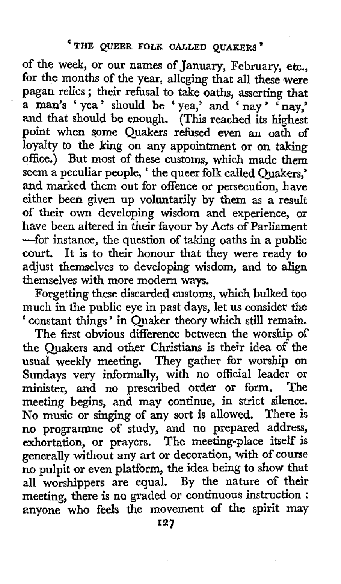of the week, or our names of January, February, etc., for the months of the year, alleging that all these were pagan relics ; their refusal to take oaths, asserting that a man's 'yea' should be 'yea,' and 'nay' 'nay,' and that should be enough. (This reached its highest point when some Quakers refused even an oath of loyalty to the king on any appointment or on taking office.) But most of these customs, which made them seem a peculiar people, ' the queer folk called Quakers,' and marked them out for offence or persecution, have either been given up voluntarily by them as a result of their own developing wisdom and experience, or have been altered in their favour by Acts of Parliament -for instance, the question of taking oaths in a **public**  court. It is to their honour that they were ready **to**  adjust themselves to developing wisdom, and to align themselves with more modern ways.

Forgetting these discarded customs, which bulked too much in the public eye in past days, let us consider the ' constant things ' in Quaker theory which still remain.

The first obvious difference between the worship of the Quakers and other Christians is their idea of the usual weekly meeting. They gather for worship on Sundays very informally, with no official leader or minister, and no prescribed order or form. **The**  meeting begins, and may continue, in strict silence. No music or singing of any sort is allowed. There is no programme of study, and no prepared address, exhortation, or prayers. The meeting-place itself is generally without any art or decoration, with of course no pulpit or even platform, the idea being to show that all worshippers are equal. By the nature of their meeting, there is no graded or continuous **instruction** : anyone **who** feels the movement of the spirit may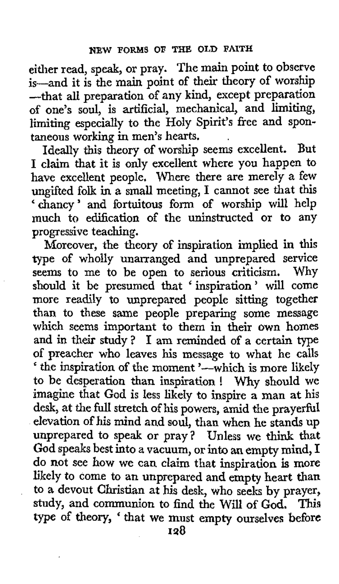either read, speak, or pray. The main point to observe is-and it is the **main** point of their theory of worship -that all preparation of any kind, except preparation of one's soul, **is** artificial, mechanical, and limiting, limiting especially to the Holy Spirit's free and spontaneous working in men's hearts. .

Ideally this theory of worship seems excellent. But I claim that it is only excellent where you happen to have excellent people. Where there are merely a few ungifted folk in a small meeting, I cannot see that this 'chancy' and fortuitous form of worship will help much to edification of the uninstructed or to any progressive teaching.

Moreover, the theory of inspiration implied in this **type** of wholly unarranged and unprepared service seems to me to be open to serious criticism. Why should it be presumed that ' inspiration ' will come more readily to unprepared people sitting together than to these same people preparing some message which seems important to them in their own homes and in their study? **1** am reminded of a certain type of preacher who leaves his message to what he calls ' the inspiration of the moment '-which is more likely to be desperation than inspiration ! Why should we imagine that God is less likely to inspire a man at his desk, at the full stretch of his powers, amid the prayerful elevation of his mind and soul, than when he stands up unprepared to speak or pray? Unless we think that God speaks best into a vacuum, or into an empty mind, I do not see how we can claim that inspiration *is* more likely to come to an unprepared and empty heart than **to** a devout Christian at his desk, who seeks **by** prayer, study, and communion to find the Will **of** God. This type of theory, ' that we must empty ourselves before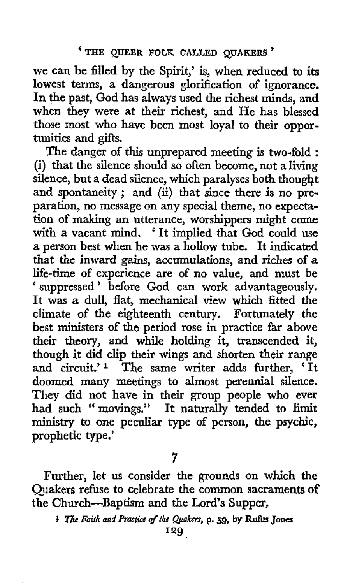we can be filled by the Spirit,' is, when reduced to its lowest terms, a dangerous glorification of ignorance. In the past, God has always used the richest minds, and when they were at their richest, and He has blessed those most who have been most loyal to their opportunities and gifts.

The danger of this unprepared meeting is two-fold : (i) that the silence should so often become, not a living silence, but a dead silence, which paralyses both thought and spontaneity ; and (ii) that since there **is** no preparation, no message on any special theme, no expectation of making an utterance, worshippers might come with a vacant mind. ' It implied that God could use a person best when he was a hollow tube. It indicated that **the** inward gains, accumulations, and riches of *a*  life-time of experience are of no value, and must be ' suppressed ' before **God** can work advantageously. **It** was **a** dull, flat, mechanical view which fitted the climate of the eighteenth century. Fortunately the best ministers of the period rose in practice far above their theory, and while holding it, transcended it, though it did clip their wings and shorten their range and circuit.' **1** The same writer adds further, ' It doomed many meetings to almost perennial silence. They did not have in their group people who ever had such "movings." It naturally tended to limit **ministry** to one peculiar type of person, the psychic, prophetic type.'

Further, let us consider the grounds on which the Quakers refuse to celebrate the common sacraments **of**  the Church-Baptism and the **Lord's** Supper,

**<sup>7</sup>** 

<sup>&</sup>lt;sup>1</sup> The Faith and Practice of the Quakers, p. 59, by Rufus Jones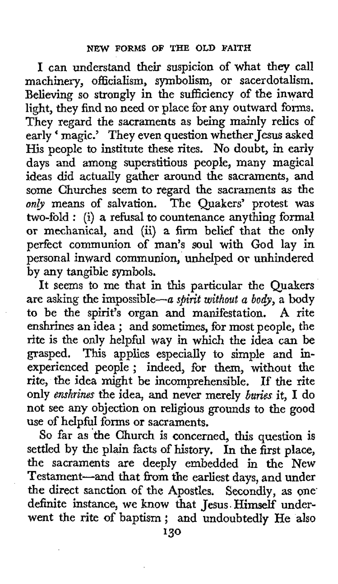**I** can understand their suspicion of what they call machinery, officialism, symbolism, or sacerdotalism. Believing so strongly in the sufficiency of the inward light, they find no need **or** place for any outward forms. They regard the sacraments as being mainly relics of early ' magic.' They even question whether Jesus asked His people to institute these rites. No doubt, in early days and among superstitious people, many magical ideas did actually gather around the sacraments, and some Churches seem to regard the sacraments **as** the *only* means of salvation. The Quakers' protest was two-fold : (i) *a* refusal to countenance anything formal or mechanical, and **(ii)** a **firm** belief that the only perfect communion of man's soul with God lay in personal inward communion, unhelped **or** unhindered by any tangible symbols.

It seems to me that in **this** particular the Quakers are asking the impossible--a *spirit without a body,* a body to be the spirit's organ and manifestation. **A** rite enshrines an idea ; and sometimes, for most people, the rite is the only helpful way in which the idea can be grasped. This applies especially to simple and in-experienced people ; indeed, for them, **without** the rite, the idea might be incomprehensible. **If** the rite only *enshrines* the idea, and never merely *buries* it, **I** do not see any objection on religious grounds to the good use of helpful forms or sacraments.

So far as the Church is concerned, this question is settled by the plain facts of history. In the first place, the sacraments are deeply embedded in the New Testament-and that from the earliest days, and under the direct sanction of the Apostles. Secondly, as one definite instance, we **know** that Jesus. Himself underwent the rite of baptism; and undoubtedly He **also**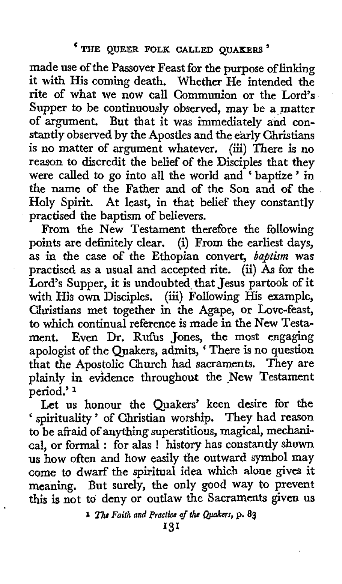made use of the Passover Feast for the purpose of linking it with His coming death. Whether He intended the rite of what we **now** call Communion or the Lord's Supper to be continuously observed, may be a matter of argument. But that it was immediately and constantly observed by the Apostles and the early Christians is no matter of argument whatever. (iii) There is no reason to discredit the belief **of** the Disciples that they were called to go into all the world and 'baptize' in the name **of** the Father and of the Son and *of* the Holy Spirit. At least, in that belief they constantly practised the baptism of believers.

From the New Testament therefore the following points are definitely clear. (i) From the earliest days, as in the case of the Ethopian convert, *baptism* was practised **as** a usual and accepted rite. **(ii)** *As* for the Lord's Supper, it is undoubted that Jesus partook of it with His **own** Disciples. (iii) Following His example, Christians met together in the Agape, **or** Love-feast, to which continual reference is made in the New Testament. Even **Dr.** Rufus Jones, the most engaging apologist of the Quakers, admits, ' There is no question that the Apostolic Church had sacraments. They are plainly in evidence throughout the New Testament period.'<sup>1</sup>

Let us honour the Quakers' keen desire for **the**  ' spirituality ' of Christian worship, They had reason to be afraid **of** anything superstitious, magical, mechanical, or formal : for alas ! history has constantly shown us how often and how easily the outward symbol may come *to* dwarf **the** spiritual idea **which** alone *gives* it meaning. But surely, the only good way to prevent this is not to deny or outlaw the Sacraments **given** us

**i 1** The Faith and Practice of the Quakers, p. 83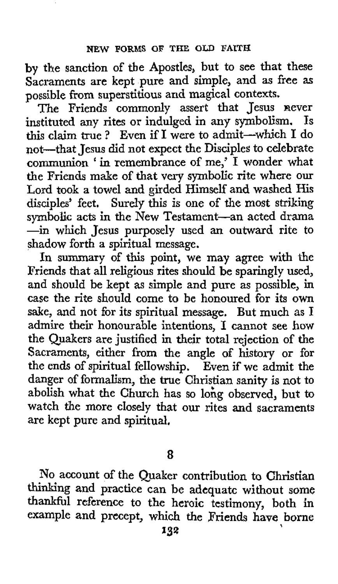by the sanction of the Apostles, but to see that these Sacraments are kept pure and simple, and as free as possible from superstitious and magical contexts.

The Friends commonly assert that Jesus never<br>stituted any rites or indulged in any symbolism. Is instituted any rites or indulged in any symbolism. this claim true ? Even if I were to admit-which I do not-that Jesus did not expect the Disciples to celebrate communion ' in remembrance of me,' I wonder what the Friends make of that very symbolic rite where our Lord took a towel and girded Himself and washed His disciples' feet. Surely this is one of the most striking symbolic acts in the New Testament-an acted drama -in which Jesus purposely used an outward rite to shadow forth a spiritual message.

In summary of this point, we may agree with the Friends that all religious rites should be sparingly used, and should be kept as simple and pure as possible, in case the rite should come to be honoured for its own sake, and not for its spiritual message. But much **as** I admire their honourable intentions, I cannot see **how**  the Quakers are justified in their total rejection of the Sacraments, either from the angle of history or for the ends of spiritual fellowship. Even if we admit the danger of formalism, the true Christian sanity is not to abolish what the Church has so lohg observed, but to watch the more closely that our rites and sacraments are kept pure and spiritual,

**8** 

No account of the Quaker contribution **to** Christian thinking and practice can be adequate without **some**  thankful reference *to* the heroic testimony, both in example and precept, which the Friends have borne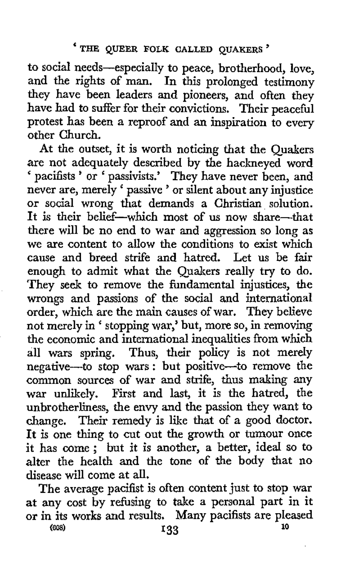to social needs-especially to peace, brotherhood, love, and the rights of man. In this prolonged testimony they have been leaders and pioneers, and often they have had to suffer for their convictions. Their peaceful protest has been **a** reproof and an inspiration to every other Church.

At the outset, it is worth noticing that the Quakers are not adequately described by the hackneyed word ' pacifists ' or ' passivists.' They have never been, and pactures or passivists. They have never been, and<br>never are, merely ' passive ' or silent about any injustice or social wrong that demands a Christian solution. It is their belief-which most of us now share-that there will be no end to war and aggression so long as we are content to allow the conditions to exist which cause and breed strife and hatred. Let us be fair enough to admit what the Quakers really try to do. They seek to remove the fundamental injustices, the wrongs and passions of the social and international order, which are the main causes of war. They believe not merely in ' stopping war,' but, more so, in removing the economic and international inequalities from which all wars spring. Thus, their policy **is** not merely negative-to stop wars : but positive-to remove the common sources of war and strife, thus making any war unlikely. First and last, it is the hatred, the unbrotherliness, the envy and the passion they want to change. Their remedy is like that of a good doctor. It is one thing to cut out the growth or tumour once it has come ; but it is another, **a** better, ideal so to alter the health and the tone of the body that no disease will come at all.

The average pacifist is often content just to stop war at any cost by refusing to take a personal part in it **or** in its **works** and results. Many pacifists are pleased **<sup>10</sup>***(00s)* **I33**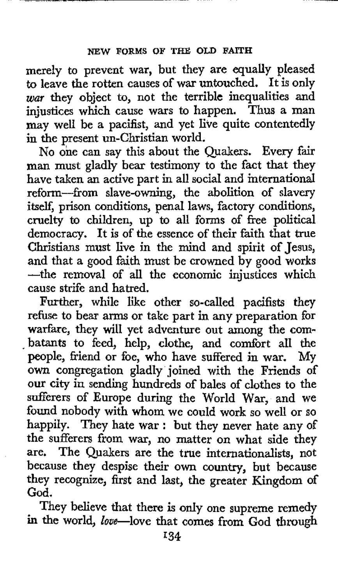merely to prevent war, but they are equally pleased to leave the rotten causes of war untouched. It is only *war* they object to, not the terrible inequalities and injustices which cause wars to happen. Thus a man may well be a pacifist, and yet live quite contentedly in the present un-Christian world.

No one can say this about the Quakers. Every fair man must gladly bear testimony to the fact that they have taken an active part in all social and international reform--from slave-owning, the abolition of slavery itself, prison conditions, penal laws, factory conditions, cruelty to children, up to all forms of free political democracy. It is of the essence of their faith that true Christians must live in the mind and spirit of Jesus, and that a good faith must be crowned by good works -the removal of all the economic injustices which cause strife and hatred.

Further, while like other so-called pacifists they refuse to bear arms or take part in any preparation for warfare, they will yet adventure out among the com-<br>batants to feed, help, clothe, and comfort all the people, friend or foe, who have suffered in war. My **own** congregation gladly joined with the Friends of our city in sending hundreds of bales of clothes to the sufferers of Europe during the World War, and we found nobody with whom we could work so well or so happily. They hate war : but they never hate any of the sufferers from war, no matter on what side they are. The Quakers are the true internationalists, not because they despise their own country, but because they recognize, first and last, the greater Kingdom of God.

They believe that there is only one supreme remedy **in** the world, love-love that comes from God through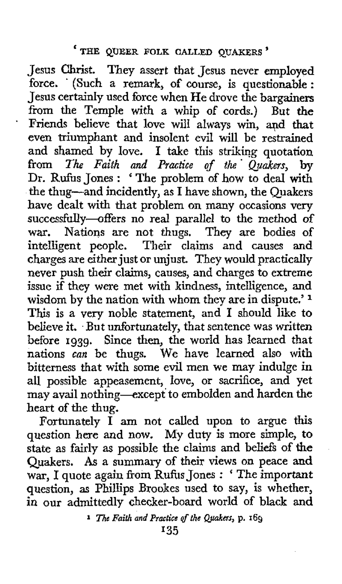\*

Jesus Christ. They assert that Jesus never employed force. (Such a remark, of course, is questionable : Jesus certainly used force when He drove the bargainers from the Temple with a whip **of** cords.) But *the*  Friends believe that love will always win, and that even triumphant and insolent evil will be restrained and shamed by love. I take this striking quotation from *The Faith and Practice of the. Quakers,* by Dr. Rufius Jones : ' The problem of how to deal with the thug-and incidently, as I have shown, the Quakers have dealt with that problem on many occasions very successfully-offers no real parallel to the method of war. Nations are not thugs. They are bodies of Nations are not thugs. They are bodies of intelligent people. Their claims and causes and charges are either just or unjust. They would practically never push their claims, causes, and charges to extreme issue if they were met with kindness, intelligence, and wisdom by the nation with whom they are in dispute.' **<sup>1</sup>** This is a very noble statement, and I should like to believe it. But unfortunately, that sentence was written before **1939.** Since then, the world has learned that nations *can* be thugs. We have learned also **with**  bitterness that with some evil men we may indulge in all possible appeasement, love, or sacrifice, and yet may avail nothing-except to embolden and harden the heart of the thug.

Fortunately  $\overrightarrow{I}$  am not called upon to argue this question here and **now.** My duty is more simple, **to**  state as fairly as possible the claims and beliefs of the Quakers. *As* a summary of their views on peace **and**  war, I quote again from Rufus Jones : ' The important question, as Phillips Brookes used to say, is whether, in our admittedly checker-board world of black and

**<sup>1</sup>** *Th6 Faith and* **Practice** *qf the Quakers,* **p. 169**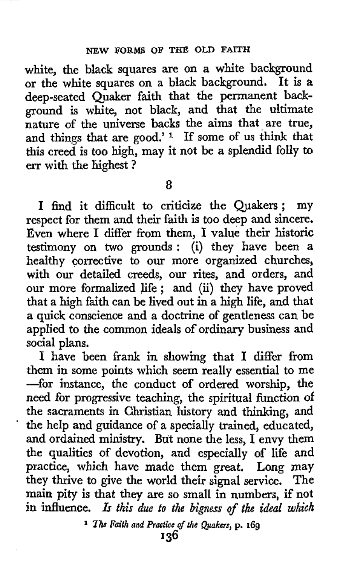white, the black squares are on a white background or the white squares on a black background. It is a deep-seated Quaker faith that the permanent background is white, not black, and that the ultimate nature of the universe backs the aims that are true, and things that are good.' **1** If some of us think that this creed is too high, may it not be a splendid folly to err with the highest ?

*8* 

I find it difficult to criticize the Quakers; my respect for them and their faith is too deep and sincere. Even where I differ from them, I value their historic testimony on two grounds : (i) they have been a healthy corrective to our more organized churches, with our detailed creeds, our rites, and orders, and our more formalized life ; and (ii) they have proved that a high faith can be lived out in a high life, and that a quick conscience and a doctrine of gentleness can be applied to the common ideals **of** ordinary business and social plans.

I have been frank in showing that I differ from them in some points which seem really essential to me -for instance, the conduct of ordered worship, the need for progressive teaching, the spiritual function of the sacraments in Christian history and thinking, and ' the help and guidance of a specially trained, educated, and ordained ministry. But none the less, I envy **them**  the qualities **of** devotion, and especially of life and practice, which have made them great. **Long may**  they thrive to give the world their signal service. The main pity is that they are so small in numbers, if not in influence. Is this due to the bigness of the ideal which

<sup>1</sup> *The Faith and Practice of the Quakers, p. 169*